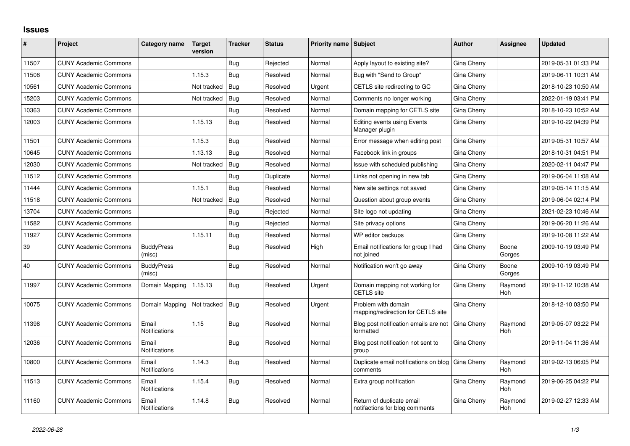## **Issues**

| #     | Project                      | Category name                 | Target<br>version | <b>Tracker</b> | <b>Status</b> | <b>Priority name Subject</b> |                                                             | <b>Author</b>      | <b>Assignee</b>       | <b>Updated</b>      |
|-------|------------------------------|-------------------------------|-------------------|----------------|---------------|------------------------------|-------------------------------------------------------------|--------------------|-----------------------|---------------------|
| 11507 | <b>CUNY Academic Commons</b> |                               |                   | Bug            | Rejected      | Normal                       | Apply layout to existing site?                              | Gina Cherry        |                       | 2019-05-31 01:33 PM |
| 11508 | <b>CUNY Academic Commons</b> |                               | 1.15.3            | Bug            | Resolved      | Normal                       | Bug with "Send to Group"                                    | Gina Cherry        |                       | 2019-06-11 10:31 AM |
| 10561 | <b>CUNY Academic Commons</b> |                               | Not tracked       | <b>Bug</b>     | Resolved      | Urgent                       | CETLS site redirecting to GC                                | Gina Cherry        |                       | 2018-10-23 10:50 AM |
| 15203 | <b>CUNY Academic Commons</b> |                               | Not tracked       | Bug            | Resolved      | Normal                       | Comments no longer working                                  | Gina Cherry        |                       | 2022-01-19 03:41 PM |
| 10363 | <b>CUNY Academic Commons</b> |                               |                   | Bug            | Resolved      | Normal                       | Domain mapping for CETLS site                               | Gina Cherry        |                       | 2018-10-23 10:52 AM |
| 12003 | <b>CUNY Academic Commons</b> |                               | 1.15.13           | Bug            | Resolved      | Normal                       | <b>Editing events using Events</b><br>Manager plugin        | Gina Cherry        |                       | 2019-10-22 04:39 PM |
| 11501 | <b>CUNY Academic Commons</b> |                               | 1.15.3            | Bug            | Resolved      | Normal                       | Error message when editing post                             | Gina Cherry        |                       | 2019-05-31 10:57 AM |
| 10645 | <b>CUNY Academic Commons</b> |                               | 1.13.13           | Bug            | Resolved      | Normal                       | Facebook link in groups                                     | Gina Cherry        |                       | 2018-10-31 04:51 PM |
| 12030 | <b>CUNY Academic Commons</b> |                               | Not tracked       | Bug            | Resolved      | Normal                       | Issue with scheduled publishing                             | Gina Cherry        |                       | 2020-02-11 04:47 PM |
| 11512 | <b>CUNY Academic Commons</b> |                               |                   | Bug            | Duplicate     | Normal                       | Links not opening in new tab                                | Gina Cherry        |                       | 2019-06-04 11:08 AM |
| 11444 | <b>CUNY Academic Commons</b> |                               | 1.15.1            | Bug            | Resolved      | Normal                       | New site settings not saved                                 | Gina Cherry        |                       | 2019-05-14 11:15 AM |
| 11518 | <b>CUNY Academic Commons</b> |                               | Not tracked       | Bug            | Resolved      | Normal                       | Question about group events                                 | Gina Cherry        |                       | 2019-06-04 02:14 PM |
| 13704 | <b>CUNY Academic Commons</b> |                               |                   | Bug            | Rejected      | Normal                       | Site logo not updating                                      | Gina Cherry        |                       | 2021-02-23 10:46 AM |
| 11582 | <b>CUNY Academic Commons</b> |                               |                   | Bug            | Rejected      | Normal                       | Site privacy options                                        | Gina Cherry        |                       | 2019-06-20 11:26 AM |
| 11927 | <b>CUNY Academic Commons</b> |                               | 1.15.11           | Bug            | Resolved      | Normal                       | WP editor backups                                           | Gina Cherry        |                       | 2019-10-08 11:22 AM |
| 39    | <b>CUNY Academic Commons</b> | <b>BuddyPress</b><br>(misc)   |                   | Bug            | Resolved      | High                         | Email notifications for group I had<br>not joined           | Gina Cherry        | Boone<br>Gorges       | 2009-10-19 03:49 PM |
| 40    | <b>CUNY Academic Commons</b> | <b>BuddyPress</b><br>(misc)   |                   | Bug            | Resolved      | Normal                       | Notification won't go away                                  | Gina Cherry        | Boone<br>Gorges       | 2009-10-19 03:49 PM |
| 11997 | <b>CUNY Academic Commons</b> | Domain Mapping                | 1.15.13           | Bug            | Resolved      | Urgent                       | Domain mapping not working for<br><b>CETLS</b> site         | Gina Cherry        | Raymond<br>Hoh        | 2019-11-12 10:38 AM |
| 10075 | <b>CUNY Academic Commons</b> | Domain Mapping                | Not tracked       | Bug            | Resolved      | Urgent                       | Problem with domain<br>mapping/redirection for CETLS site   | Gina Cherry        |                       | 2018-12-10 03:50 PM |
| 11398 | <b>CUNY Academic Commons</b> | Email<br><b>Notifications</b> | 1.15              | Bug            | Resolved      | Normal                       | Blog post notification emails are not<br>formatted          | Gina Cherry        | Raymond<br>Hoh        | 2019-05-07 03:22 PM |
| 12036 | <b>CUNY Academic Commons</b> | Email<br>Notifications        |                   | Bug            | Resolved      | Normal                       | Blog post notification not sent to<br>group                 | Gina Cherry        |                       | 2019-11-04 11:36 AM |
| 10800 | <b>CUNY Academic Commons</b> | Email<br><b>Notifications</b> | 1.14.3            | <b>Bug</b>     | Resolved      | Normal                       | Duplicate email notifications on blog<br>comments           | <b>Gina Cherry</b> | Raymond<br><b>Hoh</b> | 2019-02-13 06:05 PM |
| 11513 | <b>CUNY Academic Commons</b> | Email<br><b>Notifications</b> | 1.15.4            | Bug            | Resolved      | Normal                       | Extra group notification                                    | Gina Cherry        | Raymond<br>Hoh        | 2019-06-25 04:22 PM |
| 11160 | <b>CUNY Academic Commons</b> | Email<br>Notifications        | 1.14.8            | Bug            | Resolved      | Normal                       | Return of duplicate email<br>notifactions for blog comments | Gina Cherry        | Raymond<br>Hoh        | 2019-02-27 12:33 AM |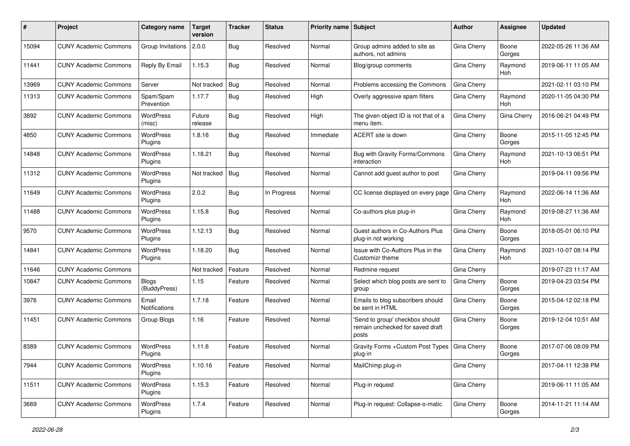| #     | Project                      | <b>Category name</b>         | <b>Target</b><br>version | <b>Tracker</b> | <b>Status</b> | <b>Priority name Subject</b> |                                                                              | Author             | <b>Assignee</b>       | <b>Updated</b>      |
|-------|------------------------------|------------------------------|--------------------------|----------------|---------------|------------------------------|------------------------------------------------------------------------------|--------------------|-----------------------|---------------------|
| 15094 | <b>CUNY Academic Commons</b> | Group Invitations            | 2.0.0                    | Bug            | Resolved      | Normal                       | Group admins added to site as<br>authors, not admins                         | Gina Cherry        | Boone<br>Gorges       | 2022-05-26 11:36 AM |
| 11441 | <b>CUNY Academic Commons</b> | Reply By Email               | 1.15.3                   | Bug            | Resolved      | Normal                       | Blog/group comments                                                          | Gina Cherry        | Raymond<br>Hoh        | 2019-06-11 11:05 AM |
| 13969 | <b>CUNY Academic Commons</b> | Server                       | Not tracked              | Bug            | Resolved      | Normal                       | Problems accessing the Commons                                               | Gina Cherry        |                       | 2021-02-11 03:10 PM |
| 11313 | <b>CUNY Academic Commons</b> | Spam/Spam<br>Prevention      | 1.17.7                   | Bug            | Resolved      | High                         | Overly aggressive spam filters                                               | Gina Cherry        | Raymond<br><b>Hoh</b> | 2020-11-05 04:30 PM |
| 3892  | <b>CUNY Academic Commons</b> | WordPress<br>(misc)          | Future<br>release        | Bug            | Resolved      | High                         | The given object ID is not that of a<br>menu item.                           | Gina Cherry        | Gina Cherry           | 2016-06-21 04:49 PM |
| 4850  | <b>CUNY Academic Commons</b> | <b>WordPress</b><br>Plugins  | 1.8.16                   | Bug            | Resolved      | Immediate                    | ACERT site is down                                                           | Gina Cherry        | Boone<br>Gorges       | 2015-11-05 12:45 PM |
| 14848 | <b>CUNY Academic Commons</b> | <b>WordPress</b><br>Plugins  | 1.18.21                  | Bug            | Resolved      | Normal                       | Bug with Gravity Forms/Commons<br>interaction                                | Gina Cherry        | Raymond<br>Hoh        | 2021-10-13 06:51 PM |
| 11312 | <b>CUNY Academic Commons</b> | <b>WordPress</b><br>Plugins  | Not tracked              | Bug            | Resolved      | Normal                       | Cannot add guest author to post                                              | Gina Cherry        |                       | 2019-04-11 09:56 PM |
| 11649 | <b>CUNY Academic Commons</b> | <b>WordPress</b><br>Plugins  | 2.0.2                    | <b>Bug</b>     | In Progress   | Normal                       | CC license displayed on every page                                           | <b>Gina Cherry</b> | Raymond<br>Hoh        | 2022-06-14 11:36 AM |
| 11488 | <b>CUNY Academic Commons</b> | WordPress<br>Plugins         | 1.15.8                   | Bug            | Resolved      | Normal                       | Co-authors plus plug-in                                                      | Gina Cherry        | Raymond<br><b>Hoh</b> | 2019-08-27 11:36 AM |
| 9570  | <b>CUNY Academic Commons</b> | WordPress<br>Plugins         | 1.12.13                  | Bug            | Resolved      | Normal                       | Guest authors in Co-Authors Plus<br>plug-in not working                      | Gina Cherry        | Boone<br>Gorges       | 2018-05-01 06:10 PM |
| 14841 | <b>CUNY Academic Commons</b> | <b>WordPress</b><br>Plugins  | 1.18.20                  | <b>Bug</b>     | Resolved      | Normal                       | Issue with Co-Authors Plus in the<br>Customizr theme                         | Gina Cherry        | Raymond<br>Hoh        | 2021-10-07 08:14 PM |
| 11646 | <b>CUNY Academic Commons</b> |                              | Not tracked              | Feature        | Resolved      | Normal                       | Redmine request                                                              | Gina Cherry        |                       | 2019-07-23 11:17 AM |
| 10847 | <b>CUNY Academic Commons</b> | <b>Blogs</b><br>(BuddyPress) | 1.15                     | Feature        | Resolved      | Normal                       | Select which blog posts are sent to<br>group                                 | Gina Cherry        | Boone<br>Gorges       | 2019-04-23 03:54 PM |
| 3976  | <b>CUNY Academic Commons</b> | Email<br>Notifications       | 1.7.18                   | Feature        | Resolved      | Normal                       | Emails to blog subscribers should<br>be sent in HTML                         | Gina Cherry        | Boone<br>Gorges       | 2015-04-12 02:18 PM |
| 11451 | <b>CUNY Academic Commons</b> | Group Blogs                  | 1.16                     | Feature        | Resolved      | Normal                       | 'Send to group' checkbox should<br>remain unchecked for saved draft<br>posts | Gina Cherry        | Boone<br>Gorges       | 2019-12-04 10:51 AM |
| 8389  | <b>CUNY Academic Commons</b> | WordPress<br>Plugins         | 1.11.6                   | Feature        | Resolved      | Normal                       | Gravity Forms + Custom Post Types<br>plug-in                                 | Gina Cherry        | Boone<br>Gorges       | 2017-07-06 08:09 PM |
| 7944  | <b>CUNY Academic Commons</b> | <b>WordPress</b><br>Plugins  | 1.10.16                  | Feature        | Resolved      | Normal                       | MailChimp plug-in                                                            | Gina Cherry        |                       | 2017-04-11 12:38 PM |
| 11511 | <b>CUNY Academic Commons</b> | WordPress<br>Plugins         | 1.15.3                   | Feature        | Resolved      | Normal                       | Plug-in request                                                              | Gina Cherry        |                       | 2019-06-11 11:05 AM |
| 3669  | <b>CUNY Academic Commons</b> | <b>WordPress</b><br>Plugins  | 1.7.4                    | Feature        | Resolved      | Normal                       | Plug-in request: Collapse-o-matic                                            | Gina Cherry        | Boone<br>Gorges       | 2014-11-21 11:14 AM |